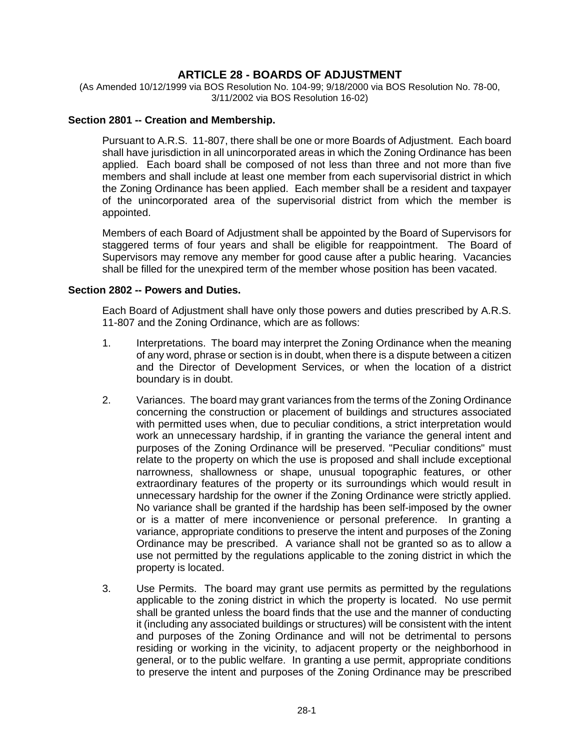# **ARTICLE 28 - BOARDS OF ADJUSTMENT**

(As Amended 10/12/1999 via BOS Resolution No. 104-99; 9/18/2000 via BOS Resolution No. 78-00, 3/11/2002 via BOS Resolution 16-02)

#### **Section 2801 -- Creation and Membership.**

Pursuant to A.R.S. 11-807, there shall be one or more Boards of Adjustment. Each board shall have jurisdiction in all unincorporated areas in which the Zoning Ordinance has been applied. Each board shall be composed of not less than three and not more than five members and shall include at least one member from each supervisorial district in which the Zoning Ordinance has been applied. Each member shall be a resident and taxpayer of the unincorporated area of the supervisorial district from which the member is appointed.

Members of each Board of Adjustment shall be appointed by the Board of Supervisors for staggered terms of four years and shall be eligible for reappointment. The Board of Supervisors may remove any member for good cause after a public hearing. Vacancies shall be filled for the unexpired term of the member whose position has been vacated.

#### **Section 2802 -- Powers and Duties.**

Each Board of Adjustment shall have only those powers and duties prescribed by A.R.S. 11-807 and the Zoning Ordinance, which are as follows:

- 1. Interpretations. The board may interpret the Zoning Ordinance when the meaning of any word, phrase or section is in doubt, when there is a dispute between a citizen and the Director of Development Services, or when the location of a district boundary is in doubt.
- 2. Variances. The board may grant variances from the terms of the Zoning Ordinance concerning the construction or placement of buildings and structures associated with permitted uses when, due to peculiar conditions, a strict interpretation would work an unnecessary hardship, if in granting the variance the general intent and purposes of the Zoning Ordinance will be preserved. "Peculiar conditions" must relate to the property on which the use is proposed and shall include exceptional narrowness, shallowness or shape, unusual topographic features, or other extraordinary features of the property or its surroundings which would result in unnecessary hardship for the owner if the Zoning Ordinance were strictly applied. No variance shall be granted if the hardship has been self-imposed by the owner or is a matter of mere inconvenience or personal preference. In granting a variance, appropriate conditions to preserve the intent and purposes of the Zoning Ordinance may be prescribed. A variance shall not be granted so as to allow a use not permitted by the regulations applicable to the zoning district in which the property is located.
- 3. Use Permits. The board may grant use permits as permitted by the regulations applicable to the zoning district in which the property is located. No use permit shall be granted unless the board finds that the use and the manner of conducting it (including any associated buildings or structures) will be consistent with the intent and purposes of the Zoning Ordinance and will not be detrimental to persons residing or working in the vicinity, to adjacent property or the neighborhood in general, or to the public welfare. In granting a use permit, appropriate conditions to preserve the intent and purposes of the Zoning Ordinance may be prescribed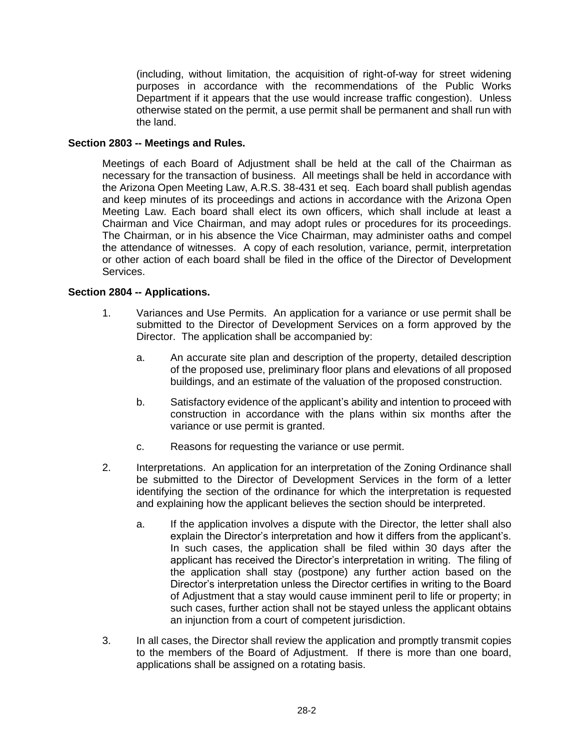(including, without limitation, the acquisition of right-of-way for street widening purposes in accordance with the recommendations of the Public Works Department if it appears that the use would increase traffic congestion). Unless otherwise stated on the permit, a use permit shall be permanent and shall run with the land.

## **Section 2803 -- Meetings and Rules.**

Meetings of each Board of Adjustment shall be held at the call of the Chairman as necessary for the transaction of business. All meetings shall be held in accordance with the Arizona Open Meeting Law, A.R.S. 38-431 et seq. Each board shall publish agendas and keep minutes of its proceedings and actions in accordance with the Arizona Open Meeting Law. Each board shall elect its own officers, which shall include at least a Chairman and Vice Chairman, and may adopt rules or procedures for its proceedings. The Chairman, or in his absence the Vice Chairman, may administer oaths and compel the attendance of witnesses. A copy of each resolution, variance, permit, interpretation or other action of each board shall be filed in the office of the Director of Development Services.

### **Section 2804 -- Applications.**

- 1. Variances and Use Permits. An application for a variance or use permit shall be submitted to the Director of Development Services on a form approved by the Director. The application shall be accompanied by:
	- a. An accurate site plan and description of the property, detailed description of the proposed use, preliminary floor plans and elevations of all proposed buildings, and an estimate of the valuation of the proposed construction.
	- b. Satisfactory evidence of the applicant's ability and intention to proceed with construction in accordance with the plans within six months after the variance or use permit is granted.
	- c. Reasons for requesting the variance or use permit.
- 2. Interpretations. An application for an interpretation of the Zoning Ordinance shall be submitted to the Director of Development Services in the form of a letter identifying the section of the ordinance for which the interpretation is requested and explaining how the applicant believes the section should be interpreted.
	- a. If the application involves a dispute with the Director, the letter shall also explain the Director's interpretation and how it differs from the applicant's. In such cases, the application shall be filed within 30 days after the applicant has received the Director's interpretation in writing. The filing of the application shall stay (postpone) any further action based on the Director's interpretation unless the Director certifies in writing to the Board of Adjustment that a stay would cause imminent peril to life or property; in such cases, further action shall not be stayed unless the applicant obtains an injunction from a court of competent jurisdiction.
- 3. In all cases, the Director shall review the application and promptly transmit copies to the members of the Board of Adjustment. If there is more than one board, applications shall be assigned on a rotating basis.